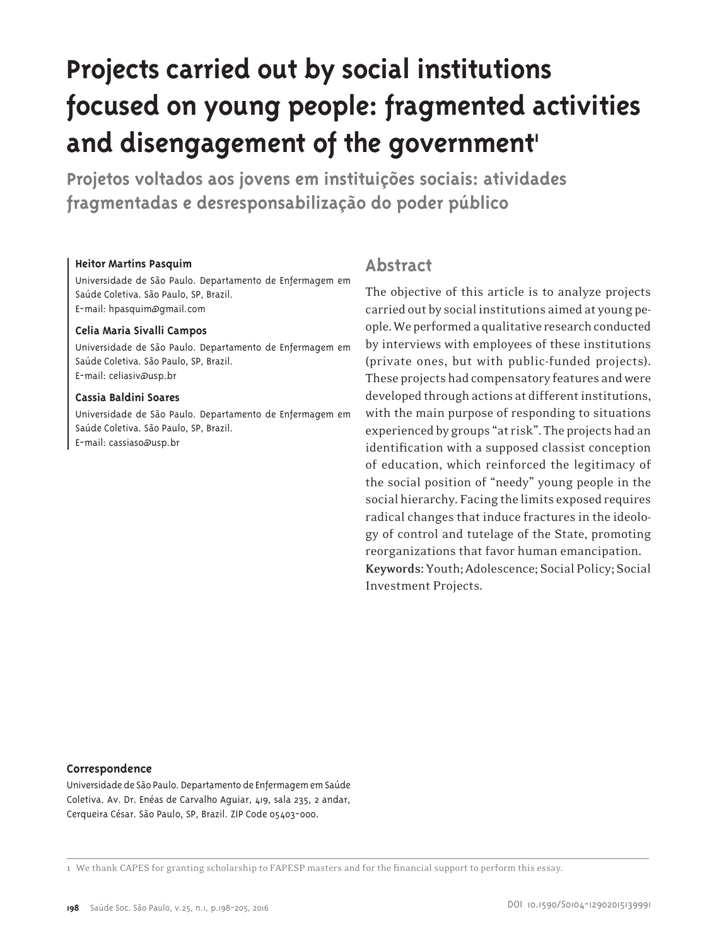# **Projects carried out by social institutions focused on young people: fragmented activities**  and disengagement of the government'

**Projetos voltados aos jovens em instituições sociais: atividades fragmentadas e desresponsabilização do poder público**

#### **Heitor Martins Pasquim**

Universidade de São Paulo. Departamento de Enfermagem em Saúde Coletiva. São Paulo, SP, Brazil. E-mail: hpasquim@gmail.com

#### **Celia Maria Sivalli Campos**

Universidade de São Paulo. Departamento de Enfermagem em Saúde Coletiva. São Paulo, SP, Brazil. E-mail: celiasiv@usp.br

#### **Cassia Baldini Soares**

Universidade de São Paulo. Departamento de Enfermagem em Saúde Coletiva. São Paulo, SP, Brazil. E-mail: cassiaso@usp.br

## **Abstract**

The objective of this article is to analyze projects carried out by socialinstitutions aimed at young people. We performed a qualitative research conducted by interviews with employees of these institutions (private ones, but with public-funded projects). These projects had compensatory features andwere developed through actions at different institutions, with the main purpose of responding to situations experienced by groups "at risk". The projects had an identification with a supposed classist conception of education, which reinforced the legitimacy of the social position of "needy" young people in the social hierarchy. Facing the limits exposed requires radical changes that induce fractures in the ideology of control and tutelage of the State, promoting reorganizations that favor human emancipation. **Keywords:** Youth;Adolescence; Social Policy; Social Investment Projects.

#### **Correspondence**

Universidade de São Paulo. Departamento de Enfermagem em Saúde Coletiva. Av. Dr. Enéas de Carvalho Aguiar, 419, sala 235, 2 andar, Cerqueira César. São Paulo, SP, Brazil. ZIP Code 05403-000.

1 We thank CAPES for granting scholarship to FAPESP masters and for the financial support to perform this essay.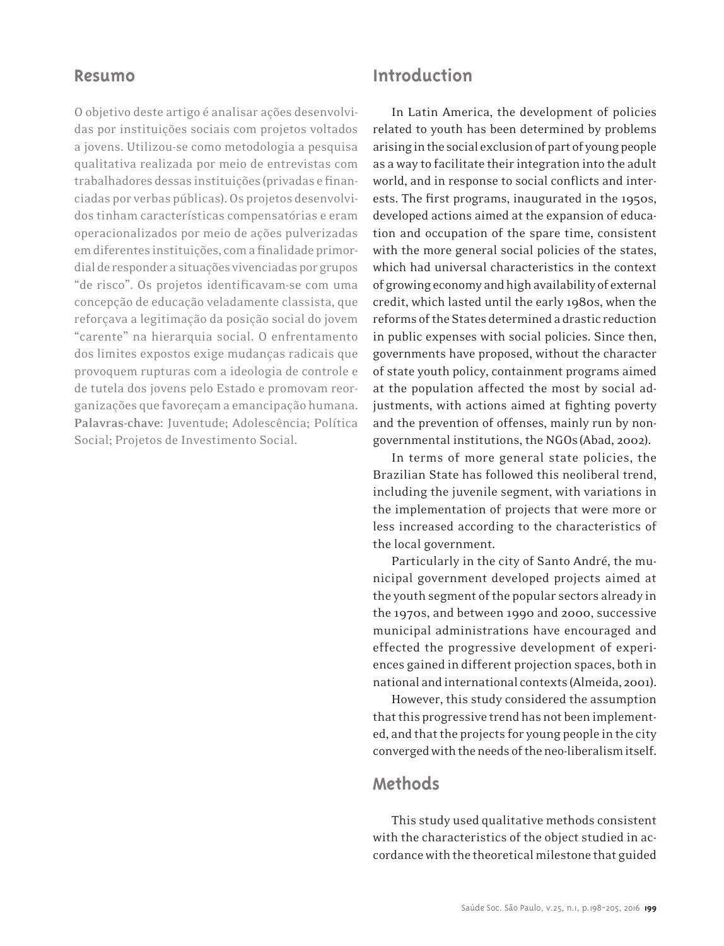## **Resumo**

O objetivo deste artigo é analisar ações desenvolvidas por instituições sociais com projetos voltados a jovens. Utilizou-se como metodologia a pesquisa qualitativa realizada por meio de entrevistas com trabalhadores dessas instituições (privadas efinanciadas por verbas públicas).Os projetos desenvolvidos tinham características compensatórias e eram operacionalizados por meio de ações pulverizadas em diferentes instituições, com a finalidade primordial de responder a situações vivenciadas por grupos "de risco". Os projetos identificavam-se com uma concepção de educação veladamente classista, que reforçava a legitimação da posição social do jovem "carente" na hierarquia social. O enfrentamento dos limites expostos exige mudanças radicais que provoquem rupturas com a ideologia de controle e de tutela dos jovens pelo Estado e promovam reorganizações que favoreçama emancipação humana. **Palavras-chave:** Juventude; Adolescência; Política Social; Projetos de Investimento Social.

## **Introduction**

In Latin America, the development of policies related to youth has been determined by problems arising in the social exclusion of part of young people as a way to facilitate their integration into the adult world, and in response to social conflicts and interests. The first programs, inaugurated in the 1950s, developed actions aimed at the expansion of education and occupation of the spare time, consistent with the more general social policies of the states, which had universal characteristics in the context ofgrowingeconomy andhighavailability of external credit, which lasted until the early 1980s, when the reforms of the States determined a drastic reduction in public expenses with social policies. Since then, governments have proposed, without the character of state youth policy, containment programs aimed at the population affected the most by social adjustments, with actions aimed at fighting poverty and the prevention of offenses, mainly run by nongovernmental institutions, the NGOs(Abad, 2002).

In terms of more general state policies, the Brazilian State has followed this neoliberal trend, including the juvenile segment, with variations in the implementation of projects that were more or less increased according to the characteristics of the local government.

Particularly in the city of Santo André, the municipal government developed projects aimed at the youth segment of the popular sectors already in the 1970s, and between 1990 and 2000, successive municipal administrations have encouraged and effected the progressive development of experiences gained in different projection spaces, both in national andinternational contexts (Almeida, 2001).

However, this study considered the assumption that this progressive trend has not been implemented, and that the projects for young people in the city converged with the needs of the neo-liberalism itself.

## **Methods**

This study used qualitative methods consistent with the characteristics of the object studied in accordance with the theoretical milestone that guided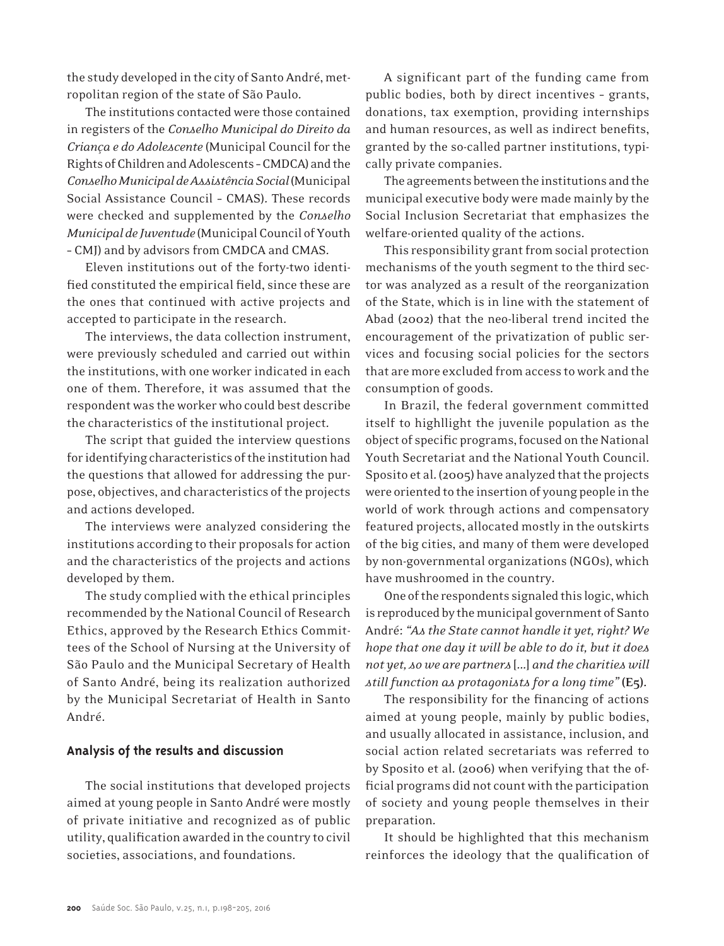the study developed in the city of Santo André, metropolitan region of the state of São Paulo.

The institutions contacted were those contained in registers of the *Conselho Municipal do Direito da Criança e do Adolescente* (Municipal Council forthe Rights of Children and Adolescents - CMDCA) and the *Conselho Municipal de Assistência Social*(Municipal Social Assistance Council – CMAS). These records were checked and supplemented by the *Conselho Municipal de Juventude* (MunicipalCouncil ofYouth – CMJ) and by advisors from CMDCA and CMAS.

Eleven institutions out of the forty-two identified constituted the empirical field, since these are the ones that continued with active projects and accepted to participate in the research.

The interviews, the data collection instrument, were previously scheduled and carried out within the institutions, with one worker indicated in each one of them. Therefore, it was assumed that the respondent was the worker who could best describe the characteristics of the institutional project.

The script that guided the interview questions for identifying characteristics of the institution had the questions that allowed for addressing the purpose, objectives, and characteristics of the projects and actions developed.

The interviews were analyzed considering the institutions according to their proposals for action and the characteristics of the projects and actions developed by them.

The study complied with the ethical principles recommended by the National Council of Research Ethics, approved by the Research Ethics Committees of the School of Nursing at the University of São Paulo and the Municipal Secretary of Health of Santo André, being its realization authorized by the Municipal Secretariat of Health in Santo André.

### **Analysis of the results and discussion**

The social institutions that developed projects aimed at young people in Santo André were mostly of private initiative and recognized as of public utility, qualification awarded in the country to civil societies, associations, and foundations.

A significant part of the funding came from public bodies, both by direct incentives – grants, donations, tax exemption, providing internships and human resources, as well as indirect benefits, granted by the so-called partner institutions, typically private companies.

The agreements between the institutions and the municipal executive body were made mainly by the Social Inclusion Secretariat that emphasizes the welfare-oriented quality of the actions.

This responsibility grant from social protection mechanisms of the youth segment to the third sector was analyzed as a result of the reorganization of the State, which is in line with the statement of Abad (2002) that the neo-liberal trend incited the encouragement of the privatization of public services and focusing social policies for the sectors that aremore excluded fromaccess towork and the consumption of goods.

In Brazil, the federal government committed itself to highllight the juvenile population as the object of specific programs, focused on the National Youth Secretariat and the National Youth Council. Sposito et al. (2005) have analyzed that the projects were oriented to the insertion of young people inthe world of work through actions and compensatory featured projects, allocated mostly in the outskirts of the big cities, and many of them were developed by non-governmental organizations (NGOs), which have mushroomed in the country.

One of the respondents signaled this logic, which is reproduced by the municipal government of Santo André:*"As the State cannot handle it yet, right? We hope that one day it will be able to do it, but it does not yet, ≠so we are partners* [...] *and the charities will still function as protagonists for a long time"* **(E5).**

The responsibility for the financing of actions aimed at young people, mainly by public bodies, and usually allocated in assistance, inclusion, and social action related secretariats was referred to by Sposito et al. (2006) when verifying that the official programs did not count with the participation of society and young people themselves in their preparation.

It should be highlighted that this mechanism reinforces the ideology that the qualification of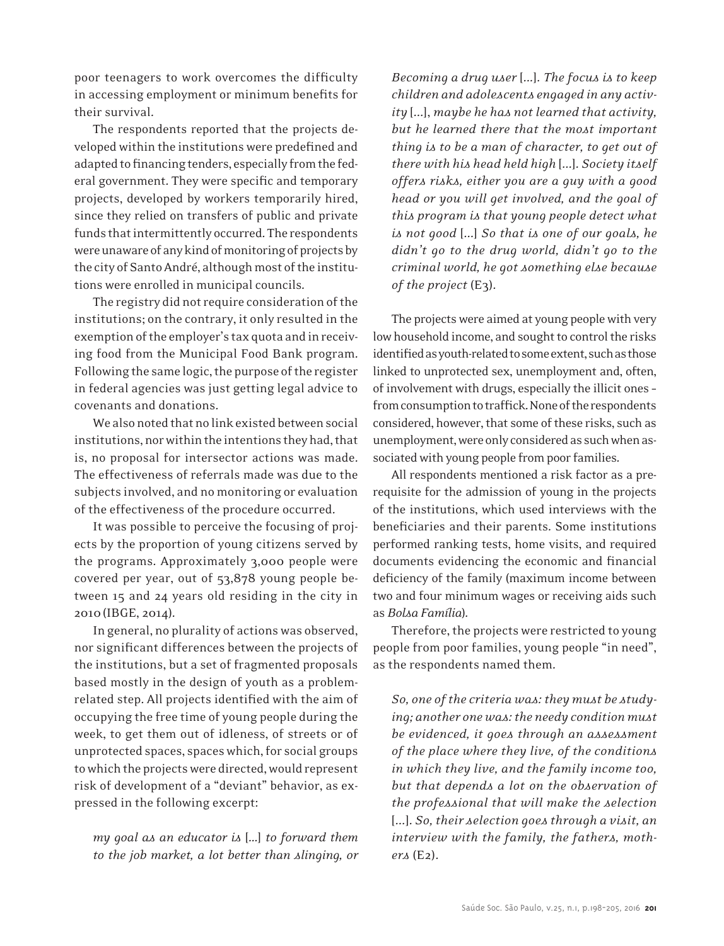poor teenagers to work overcomes the difficulty in accessing employment or minimum benefits for their survival.

The respondents reported that the projects developed within the institutions were predefined and adapted to financing tenders, especially from the federal government. They were specific and temporary projects, developed by workers temporarily hired, since they relied on transfers of public and private funds that intermittently occurred. The respondents were unaware of any kind of monitoring of projects by the city of Santo André, although most of the institutions were enrolled in municipal councils.

The registry did not require consideration of the institutions; on the contrary, it only resulted in the exemption of the employer's tax quota and in receiving food from the Municipal Food Bank program. Following the same logic, the purpose of the register in federal agencies was just getting legal advice to covenants and donations.

We also noted that no link existed between social institutions, nor within the intentions they had, that is, no proposal for intersector actions was made. The effectiveness of referrals made was due to the subjects involved, and no monitoring or evaluation of the effectiveness of the procedure occurred.

It was possible to perceive the focusing of projects by the proportion of young citizens served by the programs. Approximately 3,000 people were covered per year, out of 53,878 young people between 15 and 24 years old residing in the city in 2010(IBGE, 2014).

In general, no plurality of actionswas observed, nor significant differences between the projects of the institutions, but a set of fragmented proposals based mostly in the design of youth as a problemrelated step. All projects identified with the aim of occupying the free time of young people during the week, to get them out of idleness, of streets or of unprotected spaces, spaces which, for social groups towhich the projectswere directed,would represent risk of development of a "deviant" behavior, as expressed in the following excerpt:

*my goal as an educator is* [...] *to forward them to the job market, a lot better than slinging, or* 

*Becoming a drug user* [...]. *The focus is to keep children and adolescents engaged in any activity* [...], *maybe he has not learned that activity, but he learned there that the most important thing is to be a man of character, to get out of there with his head held high* [...]. *Society itself offers risks, either you are a guy with a good head or you will get involved, and the goal of this program is that young people detect what is not good* [...] *So that is one of our goals, he didn't go to the drug world, didn't go to the criminal world, he got something else because of the project* (E3).

The projects were aimed at young people with very low household income, and sought to control the risks identified as youth-related to some extent, such as those linked to unprotected sex, unemployment and, often, of involvement with drugs, especially the illicit ones from consumption to traffick. None of the respondents considered, however, that some of these risks, such as unemployment, were only considered as such when associated with young people from poor families.

All respondents mentioned a risk factor as a prerequisite for the admission of young in the projects of the institutions, which used interviews with the beneficiaries and their parents. Some institutions performed ranking tests, home visits, and required documents evidencing the economic and financial deficiency of the family (maximum income between two and four minimum wages or receiving aids such as *Bolsa Família*).

Therefore, the projects were restricted to young people from poor families, young people "in need", as the respondents named them.

*So, one of the criteria was: they must be studying; another one was: the needy condition must be evidenced, it goes through an assessment of the place where they live, of the conditions in which they live, and the family income too, but that depends a lot on the observation of the professional that will make the selection*  [...]. *So, their selection goes through a visit, an interview with the family, the fathers, mothers* (E2).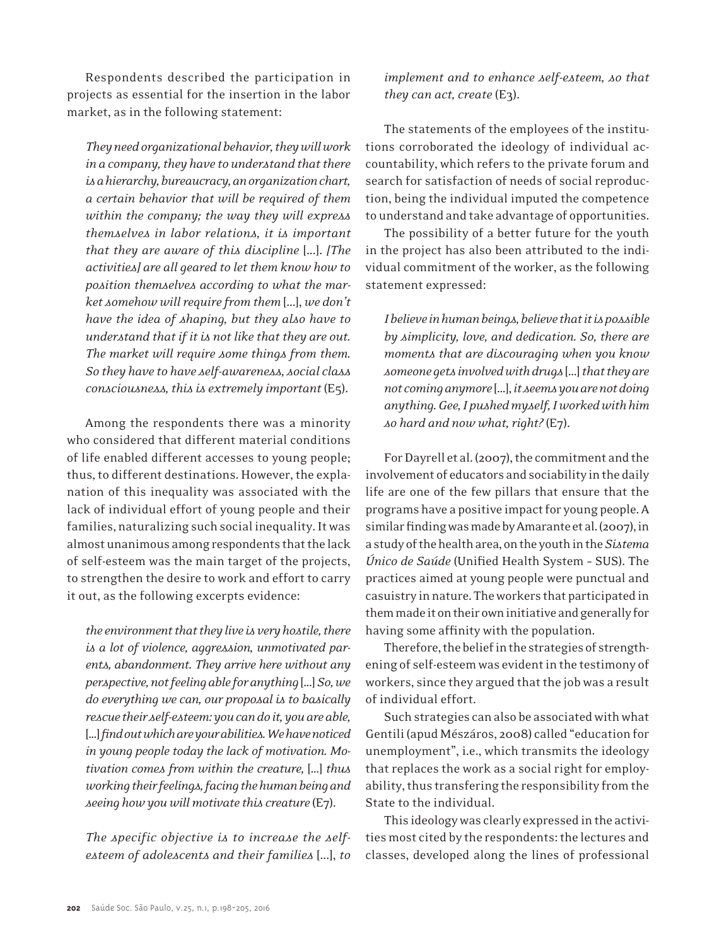Respondents described the participation in projects as essential for the insertion in the labor market, as in the following statement:

*They need organizational behavior, they will work in a company, they have to understand that there is a hierarchy, bureaucracy, an organization chart, a certain behavior that will be required of them within the company; the way they will express themselves in labor relations, it is important that they are aware of this discipline* [...]. *[The activities] are all geared to let them know how to position themselves according to what the market somehow will require from them* [...], *we don't have the idea of shaping, but they also have to understand that if it is not like that they are out. The market will require some things from them. So they have to have self-awareness, social class consciousness, this is extremely important* (E5).

Among the respondents there was a minority who considered that different material conditions of life enabled different accesses to young people; thus, to different destinations. However, the explanation of this inequality was associated with the lack of individual effort of young people and their families, naturalizing such social inequality. It was almost unanimous among respondents that the lack of self-esteem was the main target of the projects, to strengthen the desire to work and effort to carry it out, as the following excerpts evidence:

*the environment that they live is very hostile, there is a lot of violence, aggression, unmotivated parents, abandonment. They arrive here without any perspective, not feeling able for anything* [...] *So, we do everything we can, our proposal is to basically rescue their self-esteem: you can do it, you are able,*  [...] *find out which are your abilities. We have noticed in young people today the lack of motivation. Motivation comes from within the creature,* [...] *thus working their feelings, facing the human being and seeing how you will motivate this creature* (E7).

*The specific objective is to increase the selfesteem of adolescents and their families* [...], *to*  *implement and to enhance self-esteem, so that they can act, create* (E3).

The statements of the employees of the institutions corroborated the ideology of individual accountability, which refers to the private forum and search for satisfaction of needs of social reproduction, being the individual imputed the competence to understand and take advantage of opportunities.

The possibility of a better future for the youth in the project has also been attributed to the individual commitment of the worker, as the following statement expressed:

*I believe in human beings, believe that it is possible by simplicity, love, and dedication. So, there are moments that are discouraging when you know someone gets involved with drugs* [...] *that they are not coming anymore* [...], *it seems you are not doing anything. Gee, I pushed myself, I worked with him so hard and now what, right?* (E7).

For Dayrell et al. (2007), the commitment and the involvement of educators and sociability inthe daily life are one of the few pillars that ensure that the programs have a positive impact for young people. A similar finding was made by Amarante et al. (2007), in astudyofthehealtharea,onthe youthinthe*Sistema Único de Saúde* (Unified Health System – SUS). The practices aimed at young people were punctual and casuistry innature.Theworkers that participated in them made it on their own initiative and generally for having some affinity with the population.

Therefore, the belief in the strategies of strengthening of self-esteemwas evidentin the testimony of workers, since they argued that the job was a result of individual effort.

Such strategies can also be associated with what Gentili(apud Mészáros, 2008) called "education for unemployment", i.e., which transmits the ideology that replaces the work as a social right for employability, thus transfering the responsibility from the State to the individual.

This ideologywas clearly expressed in the activities most cited by the respondents: the lectures and classes, developed along the lines of professional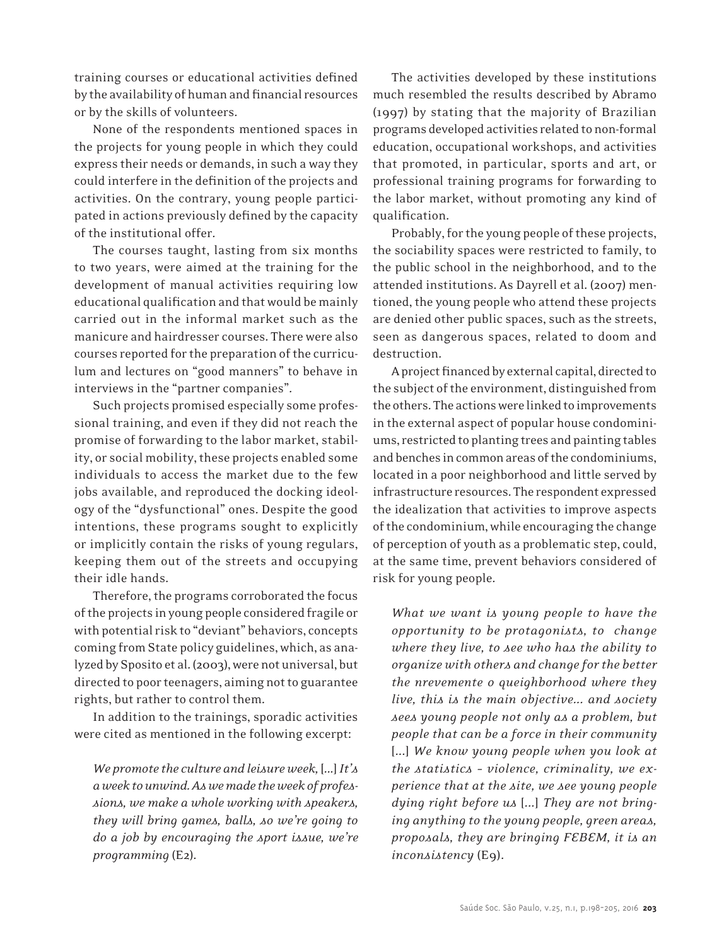training courses or educational activities defined by the availability of human and financial resources or by the skills of volunteers.

None of the respondents mentioned spaces in the projects for young people in which they could express their needs or demands, in such a way they could interfere in the definition of the projects and activities. On the contrary, young people participated in actions previously defined by the capacity of the institutional offer.

The courses taught, lasting from six months to two years, were aimed at the training for the development of manual activities requiring low educational qualification and that would be mainly carried out in the informal market such as the manicure and hairdresser courses. There were also courses reported for the preparation of the curriculum and lectures on "good manners" to behave in interviews in the "partner companies".

Such projects promised especially some professional training, and even if they did not reach the promise of forwarding to the labor market, stability, or social mobility, these projects enabled some individuals to access the market due to the few jobs available, and reproduced the docking ideology of the "dysfunctional" ones. Despite the good intentions, these programs sought to explicitly or implicitly contain the risks of young regulars, keeping them out of the streets and occupying their idle hands.

Therefore, the programs corroborated the focus ofthe projects in young people considered fragile or with potential risk to "deviant" behaviors, concepts coming from State policy guidelines, which, as analyzed by Sposito et al. (2003), were not universal, but directed to poor teenagers, aiming not to guarantee rights, but rather to control them.

In addition to the trainings, sporadic activities were cited as mentioned in the following excerpt:

*We promote the culture and leisure week,* [...] *It's a week to unwind. As we made the week of professions, we make a whole working with speakers, they will bring games, balls, so we're going to do a job by encouraging the sport issue, we're programming* (E2).

The activities developed by these institutions much resembled the results described by Abramo (1997) by stating that the majority of Brazilian programs developed activities related to non-formal education, occupational workshops, and activities that promoted, in particular, sports and art, or professional training programs for forwarding to the labor market, without promoting any kind of qualification.

Probably, for the young people of these projects, the sociability spaces were restricted to family, to the public school in the neighborhood, and to the attended institutions. As Dayrell et al. (2007) mentioned, the young people who attend these projects are denied other public spaces, such as the streets, seen as dangerous spaces, related to doom and destruction.

A project financed by external capital, directed to the subject of the environment, distinguished from the others. The actions were linked to improvements in the external aspect of popular house condominiums,restricted to planting trees and painting tables and benches in common areas of the condominiums, located in a poor neighborhood and little served by infrastructure resources.The respondent expressed the idealization that activities to improve aspects of the condominium, while encouraging the change of perception of youth as a problematic step, could, at the same time, prevent behaviors considered of risk for young people.

*What we want is young people to have the opportunity to be protagonists, to change where they live, to see who has the ability to organize with others and change for the better the nrevemente o queighborhood where they live, this is the main objective... and society sees young people not only as a problem, but people that can be a force in their community*  [...] *We know young people when you look at the statistics – violence, criminality, we experience that at the site, we see young people dying right before us* [...] *They are not bringing anything to the young people, green areas, proposals, they are bringing FEBEM, it is an inconsistency* (E9).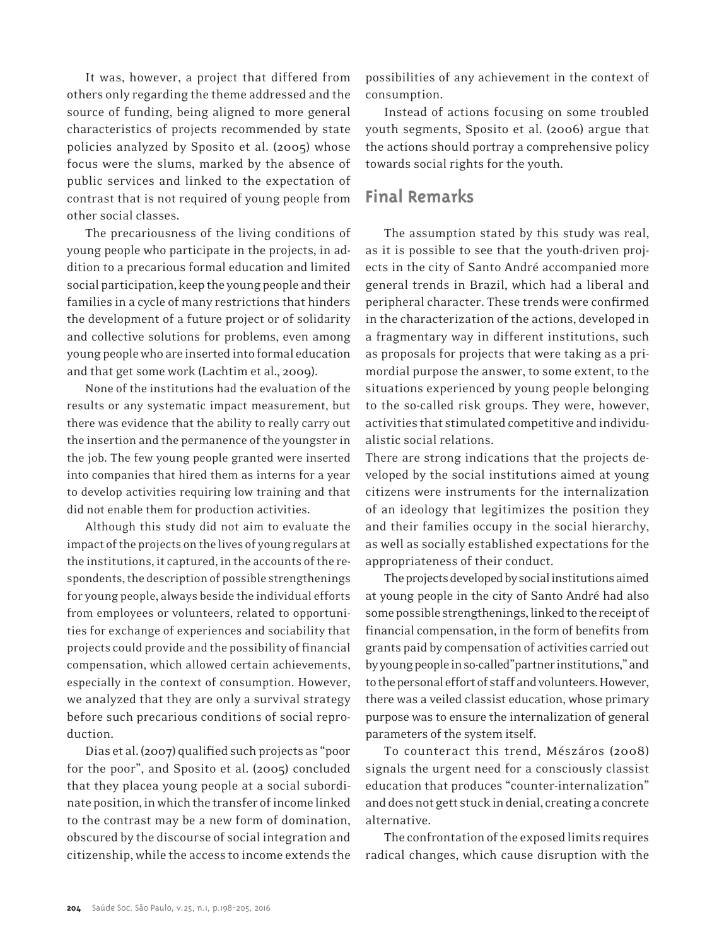It was, however, a project that differed from others only regarding the theme addressed and the source of funding, being aligned to more general characteristics of projects recommended by state policies analyzed by Sposito et al. (2005) whose focus were the slums, marked by the absence of public services and linked to the expectation of contrast that is not required of young people from other social classes.

The precariousness of the living conditions of young people who participate in the projects, in addition to a precarious formal education and limited social participation, keep the young people and their families in a cycle of many restrictions that hinders the development of a future project or of solidarity and collective solutions for problems, even among young people who are inserted into formal education and that get some work (Lachtim et al., 2009).

None of the institutions had the evaluation of the results or any systematic impact measurement, but there was evidence that the ability to really carry out the insertion and the permanence of the youngsterin the job. The few young people granted were inserted into companies that hired them as interns for a year to develop activities requiring low training and that did not enable them for production activities.

Although this study did not aim to evaluate the impact of the projects on the lives of young regulars at the institutions, it captured, in the accounts of the respondents, the description of possible strengthenings for young people, always beside the individual efforts from employees or volunteers, related to opportunities for exchange of experiences and sociability that projects could provide and the possibility of financial compensation, which allowed certain achievements, especially in the context of consumption. However, we analyzed that they are only a survival strategy before such precarious conditions of social reproduction.

Dias et al. (2007) qualified such projects as "poor for the poor", and Sposito et al. (2005) concluded that they placea young people at a social subordinate position, in which the transfer of income linked to the contrast may be a new form of domination, obscured by the discourse of social integration and citizenship,while the access to income extends the possibilities of any achievement in the context of consumption.

Instead of actions focusing on some troubled youth segments, Sposito et al. (2006) argue that the actions should portray a comprehensive policy towards social rights for the youth.

## **Final Remarks**

The assumption stated by this study was real, as it is possible to see that the youth-driven projects in the city of Santo André accompanied more general trends in Brazil, which had a liberal and peripheral character. These trends were confirmed in the characterization of the actions, developed in a fragmentary way in different institutions, such as proposals for projects that were taking as a primordial purpose the answer, to some extent, to the situations experienced by young people belonging to the so-called risk groups. They were, however, activities that stimulated competitive and individualistic social relations.

There are strong indications that the projects developed by the social institutions aimed at young citizens were instruments for the internalization of an ideology that legitimizes the position they and their families occupy in the social hierarchy, as well as socially established expectations for the appropriateness of their conduct.

The projects developed by social institutions aimed at young people in the city of Santo André had also some possible strengthenings, linked to the receipt of financial compensation, in the form of benefits from grants paid by compensation of activities carried out byyoungpeopleinso-called"partnerinstitutions,"and to the personal effort of staff and volunteers. However, there was a veiled classist education, whose primary purpose was to ensure the internalization of general parameters of the system itself.

To counteract this trend, Mészáros (2008) signals the urgent need for a consciously classist education that produces "counter-internalization" and does not gett stuck in denial, creating a concrete alternative.

The confrontation of the exposed limits requires radical changes, which cause disruption with the